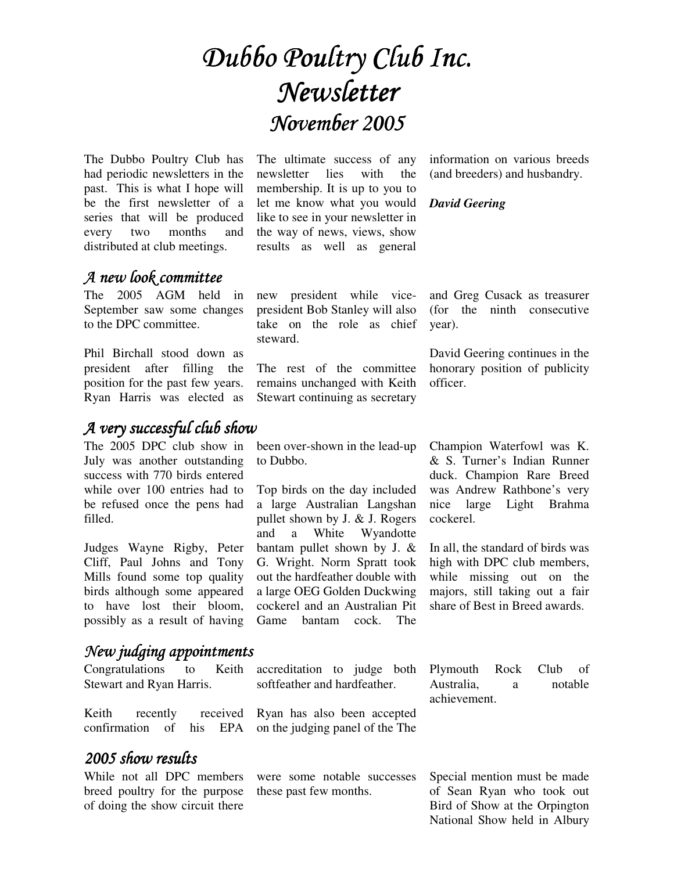# Dubbo Poultry Club Inc. Newsletter November 2005

The Dubbo Poultry Club has had periodic newsletters in the past. This is what I hope will be the first newsletter of a series that will be produced every two months and distributed at club meetings.

A new look committee

The 2005 AGM held in September saw some changes to the DPC committee.

Phil Birchall stood down as president after filling the position for the past few years. Ryan Harris was elected as

# A very successful club show

The 2005 DPC club show in July was another outstanding success with 770 birds entered while over 100 entries had to be refused once the pens had filled.

Judges Wayne Rigby, Peter Cliff, Paul Johns and Tony Mills found some top quality birds although some appeared to have lost their bloom, possibly as a result of having

## New judging appointments

Congratulations to Keith Stewart and Ryan Harris. Keith recently received

confirmation of his EPA

While not all DPC members breed poultry for the purpose of doing the show circuit there

2005 show results

The ultimate success of any newsletter lies with the membership. It is up to you to let me know what you would like to see in your newsletter in the way of news, views, show results as well as general

information on various breeds (and breeders) and husbandry.

#### *David Geering*

new president while vicepresident Bob Stanley will also take on the role as chief steward.

The rest of the committee remains unchanged with Keith Stewart continuing as secretary

and Greg Cusack as treasurer (for the ninth consecutive year).

David Geering continues in the honorary position of publicity officer.

been over-shown in the lead-up to Dubbo.

Top birds on the day included a large Australian Langshan pullet shown by J. & J. Rogers and a White Wyandotte bantam pullet shown by J. & G. Wright. Norm Spratt took out the hardfeather double with a large OEG Golden Duckwing cockerel and an Australian Pit Game bantam cock. The

Champion Waterfowl was K. & S. Turner's Indian Runner duck. Champion Rare Breed was Andrew Rathbone's very nice large Light Brahma cockerel.

In all, the standard of birds was high with DPC club members, while missing out on the majors, still taking out a fair share of Best in Breed awards.

accreditation to judge both softfeather and hardfeather.

Ryan has also been accepted on the judging panel of the The

were some notable successes these past few months.

Plymouth Rock Club of Australia, a notable achievement.

Special mention must be made of Sean Ryan who took out Bird of Show at the Orpington National Show held in Albury